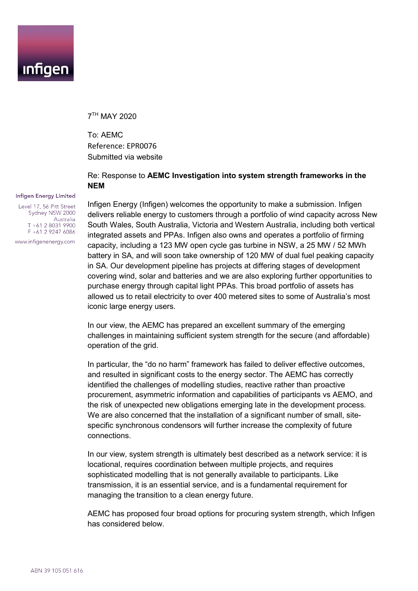

7TH MAY 2020

To: AEMC Reference: EPR0076 Submitted via website

### Re: Response to **AEMC Investigation into system strength frameworks in the NEM**

Infigen Energy (Infigen) welcomes the opportunity to make a submission. Infigen delivers reliable energy to customers through a portfolio of wind capacity across New South Wales, South Australia, Victoria and Western Australia, including both vertical integrated assets and PPAs. Infigen also owns and operates a portfolio of firming capacity, including a 123 MW open cycle gas turbine in NSW, a 25 MW / 52 MWh battery in SA, and will soon take ownership of 120 MW of dual fuel peaking capacity in SA. Our development pipeline has projects at differing stages of development covering wind, solar and batteries and we are also exploring further opportunities to purchase energy through capital light PPAs. This broad portfolio of assets has allowed us to retail electricity to over 400 metered sites to some of Australia's most iconic large energy users.

In our view, the AEMC has prepared an excellent summary of the emerging challenges in maintaining sufficient system strength for the secure (and affordable) operation of the grid.

In particular, the "do no harm" framework has failed to deliver effective outcomes, and resulted in significant costs to the energy sector. The AEMC has correctly identified the challenges of modelling studies, reactive rather than proactive procurement, asymmetric information and capabilities of participants vs AEMO, and the risk of unexpected new obligations emerging late in the development process. We are also concerned that the installation of a significant number of small, sitespecific synchronous condensors will further increase the complexity of future connections.

In our view, system strength is ultimately best described as a network service: it is locational, requires coordination between multiple projects, and requires sophisticated modelling that is not generally available to participants. Like transmission, it is an essential service, and is a fundamental requirement for managing the transition to a clean energy future.

AEMC has proposed four broad options for procuring system strength, which Infigen has considered below.

#### Infigen Energy Limited

Level 17, 56 Pitt Street Sydney NSW 2000 Australia T +61 2 8031 9900 F +61 2 9247 6086

www.infigenenergy.com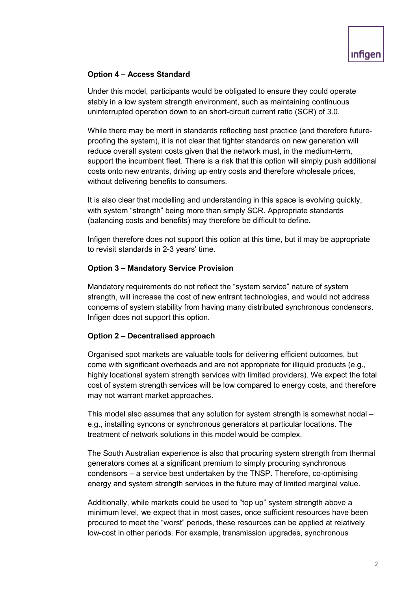# **Option 4 – Access Standard**

Under this model, participants would be obligated to ensure they could operate stably in a low system strength environment, such as maintaining continuous uninterrupted operation down to an short-circuit current ratio (SCR) of 3.0.

While there may be merit in standards reflecting best practice (and therefore futureproofing the system), it is not clear that tighter standards on new generation will reduce overall system costs given that the network must, in the medium-term, support the incumbent fleet. There is a risk that this option will simply push additional costs onto new entrants, driving up entry costs and therefore wholesale prices, without delivering benefits to consumers.

It is also clear that modelling and understanding in this space is evolving quickly, with system "strength" being more than simply SCR. Appropriate standards (balancing costs and benefits) may therefore be difficult to define.

Infigen therefore does not support this option at this time, but it may be appropriate to revisit standards in 2-3 years' time.

## **Option 3 – Mandatory Service Provision**

Mandatory requirements do not reflect the "system service" nature of system strength, will increase the cost of new entrant technologies, and would not address concerns of system stability from having many distributed synchronous condensors. Infigen does not support this option.

### **Option 2 – Decentralised approach**

Organised spot markets are valuable tools for delivering efficient outcomes, but come with significant overheads and are not appropriate for illiquid products (e.g., highly locational system strength services with limited providers). We expect the total cost of system strength services will be low compared to energy costs, and therefore may not warrant market approaches.

This model also assumes that any solution for system strength is somewhat nodal – e.g., installing syncons or synchronous generators at particular locations. The treatment of network solutions in this model would be complex.

The South Australian experience is also that procuring system strength from thermal generators comes at a significant premium to simply procuring synchronous condensors – a service best undertaken by the TNSP. Therefore, co-optimising energy and system strength services in the future may of limited marginal value.

Additionally, while markets could be used to "top up" system strength above a minimum level, we expect that in most cases, once sufficient resources have been procured to meet the "worst" periods, these resources can be applied at relatively low-cost in other periods. For example, transmission upgrades, synchronous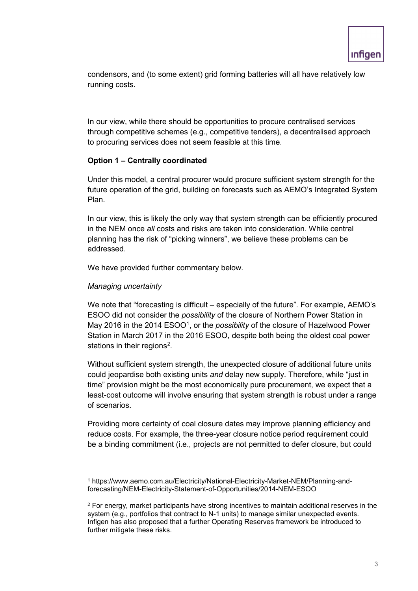condensors, and (to some extent) grid forming batteries will all have relatively low running costs.

In our view, while there should be opportunities to procure centralised services through competitive schemes (e.g., competitive tenders), a decentralised approach to procuring services does not seem feasible at this time.

## **Option 1 – Centrally coordinated**

Under this model, a central procurer would procure sufficient system strength for the future operation of the grid, building on forecasts such as AEMO's Integrated System Plan.

In our view, this is likely the only way that system strength can be efficiently procured in the NEM once *all* costs and risks are taken into consideration. While central planning has the risk of "picking winners", we believe these problems can be addressed.

We have provided further commentary below.

### *Managing uncertainty*

 $\overline{a}$ 

We note that "forecasting is difficult – especially of the future". For example, AEMO's ESOO did not consider the *possibility* of the closure of Northern Power Station in May 20[1](#page-2-0)6 in the 2014 ESOO<sup>1</sup>, or the *possibility* of the closure of Hazelwood Power Station in March 2017 in the 2016 ESOO, despite both being the oldest coal power stations in their regions $^2$ .

Without sufficient system strength, the unexpected closure of additional future units could jeopardise both existing units *and* delay new supply. Therefore, while "just in time" provision might be the most economically pure procurement, we expect that a least-cost outcome will involve ensuring that system strength is robust under a range of scenarios.

Providing more certainty of coal closure dates may improve planning efficiency and reduce costs. For example, the three-year closure notice period requirement could be a binding commitment (i.e., projects are not permitted to defer closure, but could

<span id="page-2-0"></span><sup>1</sup> https://www.aemo.com.au/Electricity/National-Electricity-Market-NEM/Planning-andforecasting/NEM-Electricity-Statement-of-Opportunities/2014-NEM-ESOO

<span id="page-2-1"></span><sup>2</sup> For energy, market participants have strong incentives to maintain additional reserves in the system (e.g., portfolios that contract to N-1 units) to manage similar unexpected events. Infigen has also proposed that a further Operating Reserves framework be introduced to further mitigate these risks.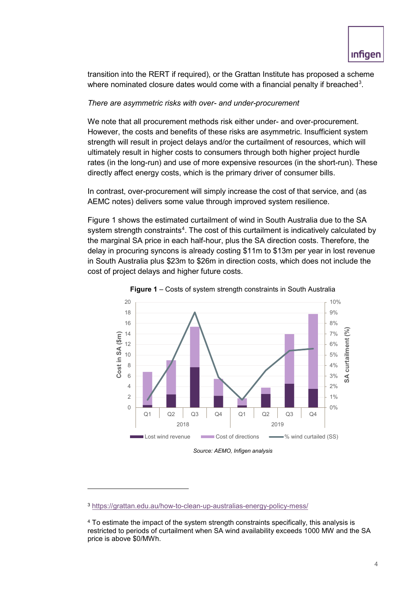transition into the RERT if required), or the Grattan Institute has proposed a scheme where nominated closure dates would come with a financial penalty if breached $^3\!$  $^3\!$  $^3\!$ 

## *There are asymmetric risks with over- and under-procurement*

We note that all procurement methods risk either under- and over-procurement. However, the costs and benefits of these risks are asymmetric. Insufficient system strength will result in project delays and/or the curtailment of resources, which will ultimately result in higher costs to consumers through both higher project hurdle rates (in the long-run) and use of more expensive resources (in the short-run). These directly affect energy costs, which is the primary driver of consumer bills.

In contrast, over-procurement will simply increase the cost of that service, and (as AEMC notes) delivers some value through improved system resilience.

Figure 1 shows the estimated curtailment of wind in South Australia due to the SA system strength constraints $^4$  $^4$ . The cost of this curtailment is indicatively calculated by the marginal SA price in each half-hour, plus the SA direction costs. Therefore, the delay in procuring syncons is already costing \$11m to \$13m per year in lost revenue in South Australia plus \$23m to \$26m in direction costs, which does not include the cost of project delays and higher future costs.





*Source: AEMO, Infigen analysis*

 $\overline{a}$ 

<span id="page-3-0"></span><sup>3</sup> <https://grattan.edu.au/how-to-clean-up-australias-energy-policy-mess/>

<span id="page-3-1"></span><sup>4</sup> To estimate the impact of the system strength constraints specifically, this analysis is restricted to periods of curtailment when SA wind availability exceeds 1000 MW and the SA price is above \$0/MWh.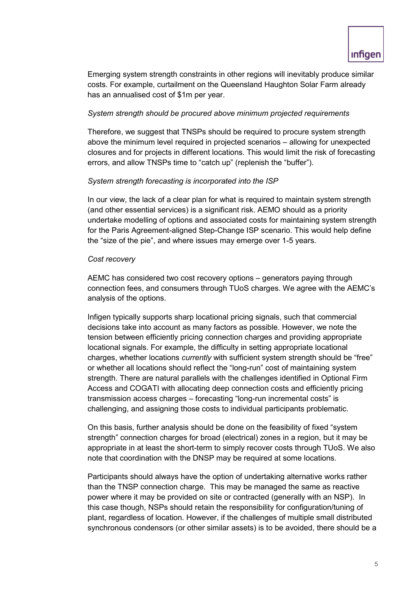Emerging system strength constraints in other regions will inevitably produce similar costs. For example, curtailment on the Queensland Haughton Solar Farm already has an annualised cost of \$1m per year.

# *System strength should be procured above minimum projected requirements*

Therefore, we suggest that TNSPs should be required to procure system strength above the minimum level required in projected scenarios – allowing for unexpected closures and for projects in different locations. This would limit the risk of forecasting errors, and allow TNSPs time to "catch up" (replenish the "buffer").

# *System strength forecasting is incorporated into the ISP*

In our view, the lack of a clear plan for what is required to maintain system strength (and other essential services) is a significant risk. AEMO should as a priority undertake modelling of options and associated costs for maintaining system strength for the Paris Agreement-aligned Step-Change ISP scenario. This would help define the "size of the pie", and where issues may emerge over 1-5 years.

## *Cost recovery*

AEMC has considered two cost recovery options – generators paying through connection fees, and consumers through TUoS charges. We agree with the AEMC's analysis of the options.

Infigen typically supports sharp locational pricing signals, such that commercial decisions take into account as many factors as possible. However, we note the tension between efficiently pricing connection charges and providing appropriate locational signals. For example, the difficulty in setting appropriate locational charges, whether locations *currently* with sufficient system strength should be "free" or whether all locations should reflect the "long-run" cost of maintaining system strength. There are natural parallels with the challenges identified in Optional Firm Access and COGATI with allocating deep connection costs and efficiently pricing transmission access charges – forecasting "long-run incremental costs" is challenging, and assigning those costs to individual participants problematic.

On this basis, further analysis should be done on the feasibility of fixed "system strength" connection charges for broad (electrical) zones in a region, but it may be appropriate in at least the short-term to simply recover costs through TUoS. We also note that coordination with the DNSP may be required at some locations.

Participants should always have the option of undertaking alternative works rather than the TNSP connection charge. This may be managed the same as reactive power where it may be provided on site or contracted (generally with an NSP). In this case though, NSPs should retain the responsibility for configuration/tuning of plant, regardless of location. However, if the challenges of multiple small distributed synchronous condensors (or other similar assets) is to be avoided, there should be a